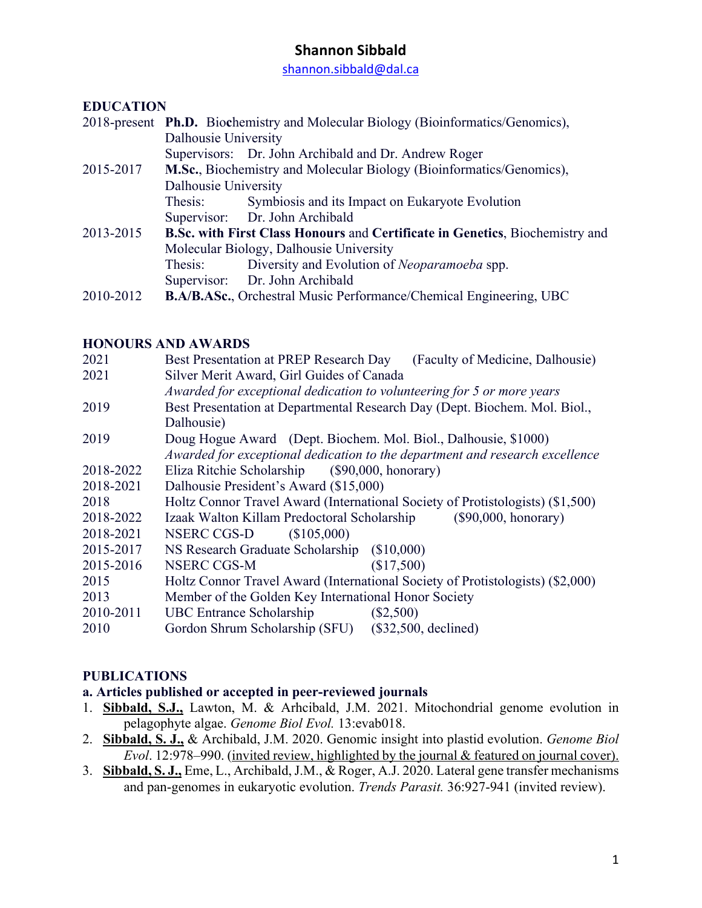shannon.sibbald@dal.ca

## **EDUCATION**

|                      | 2018-present Ph.D. Biochemistry and Molecular Biology (Bioinformatics/Genomics),    |
|----------------------|-------------------------------------------------------------------------------------|
| Dalhousie University |                                                                                     |
|                      | Supervisors: Dr. John Archibald and Dr. Andrew Roger                                |
|                      | M.Sc., Biochemistry and Molecular Biology (Bioinformatics/Genomics),                |
| Dalhousie University |                                                                                     |
| Thesis:              | Symbiosis and its Impact on Eukaryote Evolution                                     |
|                      | Supervisor: Dr. John Archibald                                                      |
|                      | <b>B.Sc. with First Class Honours and Certificate in Genetics, Biochemistry and</b> |
|                      | Molecular Biology, Dalhousie University                                             |
| Thesis:              | Diversity and Evolution of Neoparamoeba spp.                                        |
|                      | Supervisor: Dr. John Archibald                                                      |
|                      | <b>B.A/B.ASc., Orchestral Music Performance/Chemical Engineering, UBC</b>           |
|                      |                                                                                     |

#### **HONOURS AND AWARDS**

| 2021      | Best Presentation at PREP Research Day (Faculty of Medicine, Dalhousie)        |
|-----------|--------------------------------------------------------------------------------|
| 2021      | Silver Merit Award, Girl Guides of Canada                                      |
|           | Awarded for exceptional dedication to volunteering for 5 or more years         |
| 2019      | Best Presentation at Departmental Research Day (Dept. Biochem. Mol. Biol.,     |
|           | Dalhousie)                                                                     |
| 2019      | Doug Hogue Award (Dept. Biochem. Mol. Biol., Dalhousie, \$1000)                |
|           | Awarded for exceptional dedication to the department and research excellence   |
| 2018-2022 | Eliza Ritchie Scholarship (\$90,000, honorary)                                 |
| 2018-2021 | Dalhousie President's Award (\$15,000)                                         |
| 2018      | Holtz Connor Travel Award (International Society of Protistologists) (\$1,500) |
| 2018-2022 | Izaak Walton Killam Predoctoral Scholarship (\$90,000, honorary)               |
| 2018-2021 | NSERC CGS-D<br>(\$105,000)                                                     |
| 2015-2017 | NS Research Graduate Scholarship (\$10,000)                                    |
| 2015-2016 | NSERC CGS-M<br>(\$17,500)                                                      |
| 2015      | Holtz Connor Travel Award (International Society of Protistologists) (\$2,000) |
| 2013      | Member of the Golden Key International Honor Society                           |
| 2010-2011 | UBC Entrance Scholarship<br>$(\$2,500)$                                        |
| 2010      | Gordon Shrum Scholarship (SFU) (\$32,500, declined)                            |
|           |                                                                                |

## **PUBLICATIONS**

#### **a. Articles published or accepted in peer-reviewed journals**

- 1. **Sibbald, S.J.,** Lawton, M. & Arhcibald, J.M. 2021. Mitochondrial genome evolution in pelagophyte algae. *Genome Biol Evol.* 13:evab018.
- 2. **Sibbald, S. J.,** & Archibald, J.M. 2020. Genomic insight into plastid evolution. *Genome Biol Evol*. 12:978–990. (invited review, highlighted by the journal & featured on journal cover).
- 3. **Sibbald, S. J.,** Eme, L., Archibald, J.M., & Roger, A.J. 2020. Lateral gene transfer mechanisms and pan-genomes in eukaryotic evolution. *Trends Parasit.* 36:927-941 (invited review).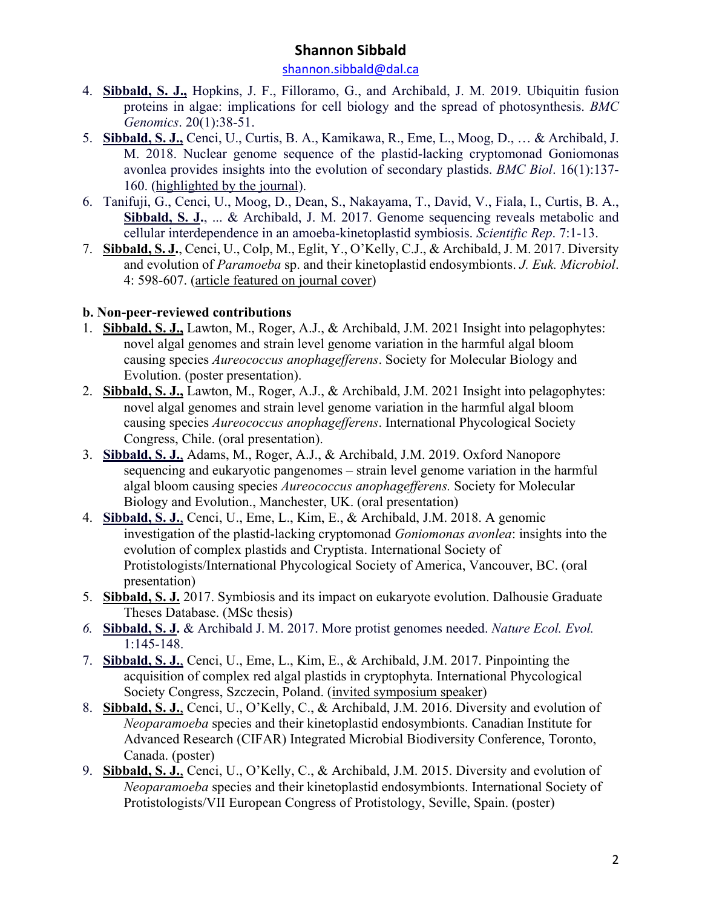shannon.sibbald@dal.ca

- 4. **Sibbald, S. J.,** Hopkins, J. F., Filloramo, G., and Archibald, J. M. 2019. Ubiquitin fusion proteins in algae: implications for cell biology and the spread of photosynthesis. *BMC Genomics*. 20(1):38-51.
- 5. **Sibbald, S. J.,** Cenci, U., Curtis, B. A., Kamikawa, R., Eme, L., Moog, D., … & Archibald, J. M. 2018. Nuclear genome sequence of the plastid-lacking cryptomonad Goniomonas avonlea provides insights into the evolution of secondary plastids. *BMC Biol*. 16(1):137- 160. (highlighted by the journal).
- 6. Tanifuji, G., Cenci, U., Moog, D., Dean, S., Nakayama, T., David, V., Fiala, I., Curtis, B. A., **Sibbald, S. J.**, ... & Archibald, J. M. 2017. Genome sequencing reveals metabolic and cellular interdependence in an amoeba-kinetoplastid symbiosis. *Scientific Rep*. 7:1-13.
- 7. **Sibbald, S. J.**, Cenci, U., Colp, M., Eglit, Y., O'Kelly, C.J., & Archibald, J. M. 2017. Diversity and evolution of *Paramoeba* sp. and their kinetoplastid endosymbionts. *J. Euk. Microbiol*. 4: 598-607. (article featured on journal cover)

# **b. Non-peer-reviewed contributions**

- 1. **Sibbald, S. J.,** Lawton, M., Roger, A.J., & Archibald, J.M. 2021 Insight into pelagophytes: novel algal genomes and strain level genome variation in the harmful algal bloom causing species *Aureococcus anophagefferens*. Society for Molecular Biology and Evolution. (poster presentation).
- 2. **Sibbald, S. J.,** Lawton, M., Roger, A.J., & Archibald, J.M. 2021 Insight into pelagophytes: novel algal genomes and strain level genome variation in the harmful algal bloom causing species *Aureococcus anophagefferens*. International Phycological Society Congress, Chile. (oral presentation).
- 3. **Sibbald, S. J.**, Adams, M., Roger, A.J., & Archibald, J.M. 2019. Oxford Nanopore sequencing and eukaryotic pangenomes – strain level genome variation in the harmful algal bloom causing species *Aureococcus anophagefferens.* Society for Molecular Biology and Evolution., Manchester, UK. (oral presentation)
- 4. **Sibbald, S. J.**, Cenci, U., Eme, L., Kim, E., & Archibald, J.M. 2018. A genomic investigation of the plastid-lacking cryptomonad *Goniomonas avonlea*: insights into the evolution of complex plastids and Cryptista. International Society of Protistologists/International Phycological Society of America, Vancouver, BC. (oral presentation)
- 5. **Sibbald, S. J.** 2017. Symbiosis and its impact on eukaryote evolution. Dalhousie Graduate Theses Database. (MSc thesis)
- *6.* **Sibbald, S. J.** & Archibald J. M. 2017. More protist genomes needed. *Nature Ecol. Evol.* 1:145-148.
- 7. **Sibbald, S. J.**, Cenci, U., Eme, L., Kim, E., & Archibald, J.M. 2017. Pinpointing the acquisition of complex red algal plastids in cryptophyta. International Phycological Society Congress, Szczecin, Poland. (invited symposium speaker)
- 8. **Sibbald, S. J.**, Cenci, U., O'Kelly, C., & Archibald, J.M. 2016. Diversity and evolution of *Neoparamoeba* species and their kinetoplastid endosymbionts. Canadian Institute for Advanced Research (CIFAR) Integrated Microbial Biodiversity Conference, Toronto, Canada. (poster)
- 9. **Sibbald, S. J.**, Cenci, U., O'Kelly, C., & Archibald, J.M. 2015. Diversity and evolution of *Neoparamoeba* species and their kinetoplastid endosymbionts. International Society of Protistologists/VII European Congress of Protistology, Seville, Spain. (poster)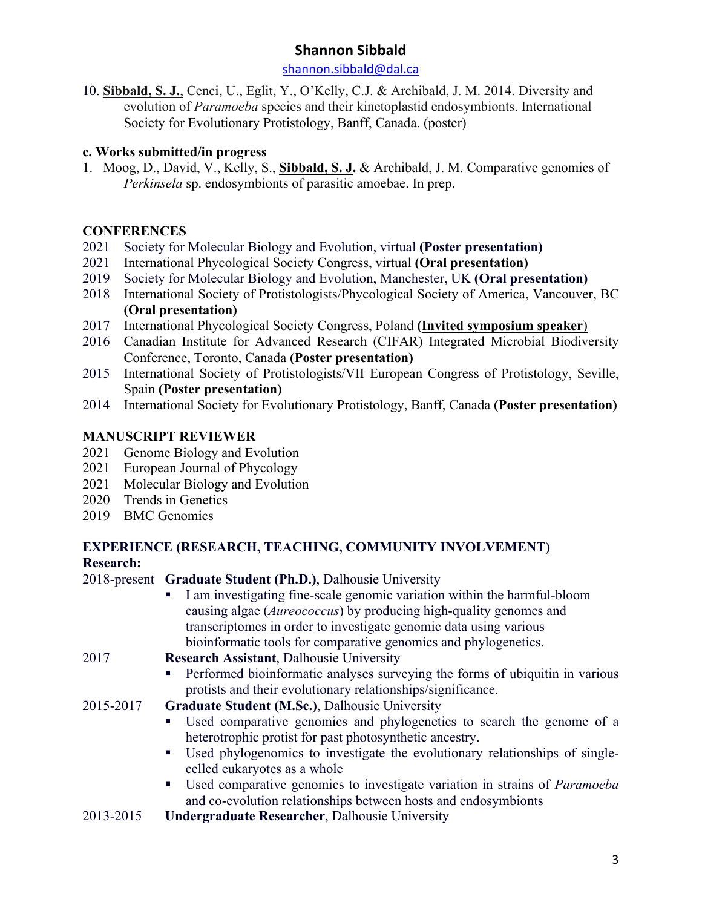#### shannon.sibbald@dal.ca

10. **Sibbald, S. J.**, Cenci, U., Eglit, Y., O'Kelly, C.J. & Archibald, J. M. 2014. Diversity and evolution of *Paramoeba* species and their kinetoplastid endosymbionts. International Society for Evolutionary Protistology, Banff, Canada. (poster)

## **c. Works submitted/in progress**

1. Moog, D., David, V., Kelly, S., **Sibbald, S. J.** & Archibald, J. M. Comparative genomics of *Perkinsela* sp. endosymbionts of parasitic amoebae. In prep.

## **CONFERENCES**

- 2021 Society for Molecular Biology and Evolution, virtual **(Poster presentation)**
- 2021 International Phycological Society Congress, virtual **(Oral presentation)**
- 2019 Society for Molecular Biology and Evolution, Manchester, UK **(Oral presentation)**
- 2018 International Society of Protistologists/Phycological Society of America, Vancouver, BC **(Oral presentation)**
- 2017 International Phycological Society Congress, Poland **(Invited symposium speaker**)
- 2016 Canadian Institute for Advanced Research (CIFAR) Integrated Microbial Biodiversity Conference, Toronto, Canada **(Poster presentation)**
- 2015 International Society of Protistologists/VII European Congress of Protistology, Seville, Spain **(Poster presentation)**
- 2014 International Society for Evolutionary Protistology, Banff, Canada **(Poster presentation)**

# **MANUSCRIPT REVIEWER**

- 2021 Genome Biology and Evolution
- 2021 European Journal of Phycology
- 2021 Molecular Biology and Evolution
- 2020 Trends in Genetics
- 2019 BMC Genomics

## **EXPERIENCE (RESEARCH, TEACHING, COMMUNITY INVOLVEMENT) Research:**

## 2018-present **Graduate Student (Ph.D.)**, Dalhousie University

I am investigating fine-scale genomic variation within the harmful-bloom causing algae (*Aureococcus*) by producing high-quality genomes and transcriptomes in order to investigate genomic data using various bioinformatic tools for comparative genomics and phylogenetics.

## 2017 **Research Assistant**, Dalhousie University

- Performed bioinformatic analyses surveying the forms of ubiquitin in various protists and their evolutionary relationships/significance.
- 2015-2017 **Graduate Student (M.Sc.)**, Dalhousie University
	- Used comparative genomics and phylogenetics to search the genome of a heterotrophic protist for past photosynthetic ancestry.
	- Used phylogenomics to investigate the evolutionary relationships of singlecelled eukaryotes as a whole
	- Used comparative genomics to investigate variation in strains of *Paramoeba* and co-evolution relationships between hosts and endosymbionts
- 2013-2015 **Undergraduate Researcher**, Dalhousie University